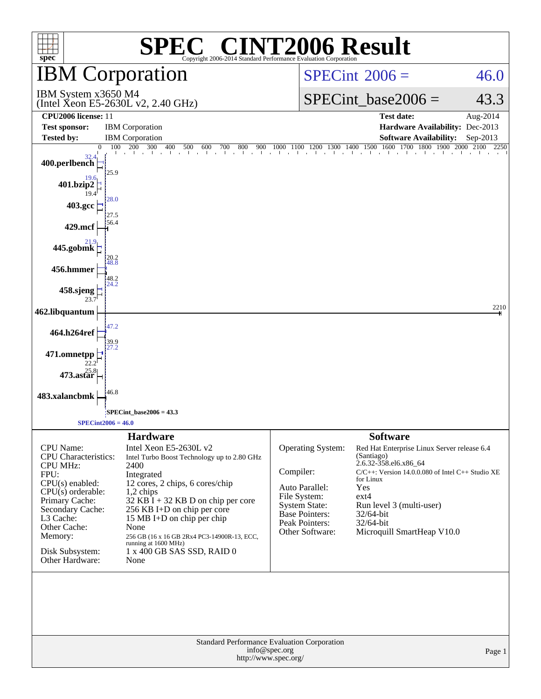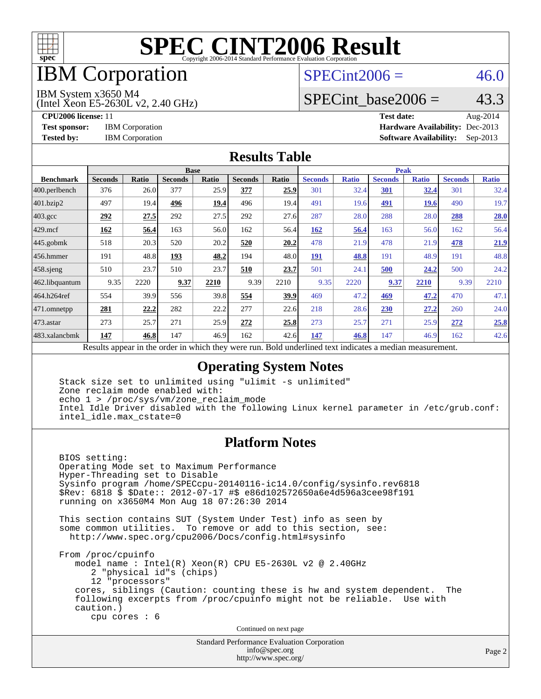![](_page_1_Picture_0.jpeg)

### IBM Corporation

#### $SPECint2006 = 46.0$  $SPECint2006 = 46.0$

IBM System x3650 M4

(Intel Xeon E5-2630L v2, 2.40 GHz)

SPECint base2006 =  $43.3$ 

**[CPU2006 license:](http://www.spec.org/auto/cpu2006/Docs/result-fields.html#CPU2006license)** 11 **[Test date:](http://www.spec.org/auto/cpu2006/Docs/result-fields.html#Testdate)** Aug-2014 **[Test sponsor:](http://www.spec.org/auto/cpu2006/Docs/result-fields.html#Testsponsor)** IBM Corporation **[Hardware Availability:](http://www.spec.org/auto/cpu2006/Docs/result-fields.html#HardwareAvailability)** Dec-2013 **[Tested by:](http://www.spec.org/auto/cpu2006/Docs/result-fields.html#Testedby)** IBM Corporation **[Software Availability:](http://www.spec.org/auto/cpu2006/Docs/result-fields.html#SoftwareAvailability)** Sep-2013

#### **[Results Table](http://www.spec.org/auto/cpu2006/Docs/result-fields.html#ResultsTable)**

|                         | <b>Base</b>    |       |                                                   |       |                |       | <b>Peak</b>                                                |              |                |              |                |              |
|-------------------------|----------------|-------|---------------------------------------------------|-------|----------------|-------|------------------------------------------------------------|--------------|----------------|--------------|----------------|--------------|
| <b>Benchmark</b>        | <b>Seconds</b> | Ratio | <b>Seconds</b>                                    | Ratio | <b>Seconds</b> | Ratio | <b>Seconds</b>                                             | <b>Ratio</b> | <b>Seconds</b> | <b>Ratio</b> | <b>Seconds</b> | <b>Ratio</b> |
| $ 400.\text{perlbench}$ | 376            | 26.0  | 377                                               | 25.9  | 377            | 25.9  | 301                                                        | 32.4         | 301            | 32.4         | 301            | 32.4         |
| 401.bzip2               | 497            | 19.4  | 496                                               | 19.4  | 496            | 19.4  | 491                                                        | 19.6         | 491            | 19.6         | 490            | 19.7         |
| $403.\text{gcc}$        | 292            | 27.5  | 292                                               | 27.5  | 292            | 27.6  | 287                                                        | 28.0         | 288            | 28.0         | 288            | 28.0         |
| $429$ mcf               | <u>162</u>     | 56.4  | 163                                               | 56.0  | 162            | 56.4  | 162                                                        | 56.4         | 163            | 56.0         | 162            | 56.4         |
| $445$ .gobmk            | 518            | 20.3  | 520                                               | 20.2  | 520            | 20.2  | 478                                                        | 21.9         | 478            | 21.9         | 478            | 21.9         |
| 456.hmmer               | 191            | 48.8  | 193                                               | 48.2  | 194            | 48.0  | 191                                                        | 48.8         | 191            | 48.9         | 191            | 48.8         |
| $458$ .sjeng            | 510            | 23.7  | 510                                               | 23.7  | 510            | 23.7  | 501                                                        | 24.1         | 500            | 24.2         | 500            | 24.2         |
| 462.libquantum          | 9.35           | 2220  | 9.37                                              | 2210  | 9.39           | 2210  | 9.35                                                       | 2220         | 9.37           | 2210         | 9.39           | 2210         |
| 464.h264ref             | 554            | 39.9  | 556                                               | 39.8  | 554            | 39.9  | 469                                                        | 47.2         | 469            | 47.2         | 470            | 47.1         |
| 471.omnetpp             | 281            | 22,2  | 282                                               | 22.2  | 277            | 22.6  | 218                                                        | 28.6         | 230            | 27.2         | 260            | 24.0         |
| $473.$ astar            | 273            | 25.7  | 271                                               | 25.9  | 272            | 25.8  | 273                                                        | 25.7         | 271            | 25.9         | 272            | 25.8         |
| 483.xalancbmk           | 147            | 46.8  | 147                                               | 46.9  | 162            | 42.6  | 147                                                        | 46.8         | 147            | 46.9         | 162            | 42.6         |
|                         |                |       | Decute ennear in the order in which they were min |       |                |       | <b>Dold</b> underlined text indicates a modian measurement |              |                |              |                |              |

Results appear in the [order in which they were run.](http://www.spec.org/auto/cpu2006/Docs/result-fields.html#RunOrder) Bold underlined text [indicates a median measurement.](http://www.spec.org/auto/cpu2006/Docs/result-fields.html#Median)

#### **[Operating System Notes](http://www.spec.org/auto/cpu2006/Docs/result-fields.html#OperatingSystemNotes)**

 Stack size set to unlimited using "ulimit -s unlimited" Zone reclaim mode enabled with: echo 1 > /proc/sys/vm/zone\_reclaim\_mode Intel Idle Driver disabled with the following Linux kernel parameter in /etc/grub.conf: intel\_idle.max\_cstate=0

#### **[Platform Notes](http://www.spec.org/auto/cpu2006/Docs/result-fields.html#PlatformNotes)**

 BIOS setting: Operating Mode set to Maximum Performance Hyper-Threading set to Disable Sysinfo program /home/SPECcpu-20140116-ic14.0/config/sysinfo.rev6818 \$Rev: 6818 \$ \$Date:: 2012-07-17 #\$ e86d102572650a6e4d596a3cee98f191 running on x3650M4 Mon Aug 18 07:26:30 2014

 This section contains SUT (System Under Test) info as seen by some common utilities. To remove or add to this section, see: <http://www.spec.org/cpu2006/Docs/config.html#sysinfo>

 From /proc/cpuinfo model name : Intel(R) Xeon(R) CPU E5-2630L v2 @ 2.40GHz 2 "physical id"s (chips) 12 "processors" cores, siblings (Caution: counting these is hw and system dependent. The following excerpts from /proc/cpuinfo might not be reliable. Use with caution.) cpu cores : 6

Continued on next page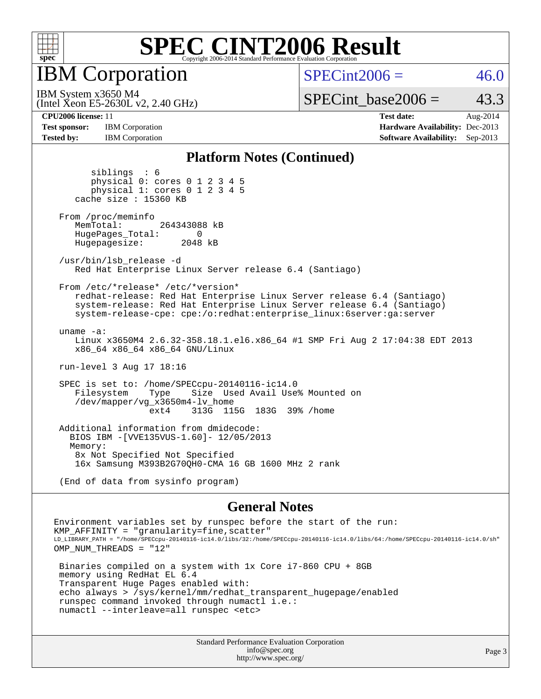![](_page_2_Picture_0.jpeg)

IBM Corporation

 $SPECint2006 = 46.0$  $SPECint2006 = 46.0$ 

(Intel Xeon E5-2630L v2, 2.40 GHz) IBM System x3650 M4

SPECint base2006 =  $43.3$ 

**[Test sponsor:](http://www.spec.org/auto/cpu2006/Docs/result-fields.html#Testsponsor)** IBM Corporation **[Hardware Availability:](http://www.spec.org/auto/cpu2006/Docs/result-fields.html#HardwareAvailability)** Dec-2013 **[Tested by:](http://www.spec.org/auto/cpu2006/Docs/result-fields.html#Testedby)** IBM Corporation **[Software Availability:](http://www.spec.org/auto/cpu2006/Docs/result-fields.html#SoftwareAvailability)** Sep-2013

**[CPU2006 license:](http://www.spec.org/auto/cpu2006/Docs/result-fields.html#CPU2006license)** 11 **[Test date:](http://www.spec.org/auto/cpu2006/Docs/result-fields.html#Testdate)** Aug-2014

#### **[Platform Notes \(Continued\)](http://www.spec.org/auto/cpu2006/Docs/result-fields.html#PlatformNotes)**

 siblings : 6 physical 0: cores 0 1 2 3 4 5 physical 1: cores 0 1 2 3 4 5 cache size : 15360 KB From /proc/meminfo MemTotal: 264343088 kB HugePages\_Total: 0<br>Hugepagesize: 2048 kB Hugepagesize: /usr/bin/lsb\_release -d Red Hat Enterprise Linux Server release 6.4 (Santiago) From /etc/\*release\* /etc/\*version\* redhat-release: Red Hat Enterprise Linux Server release 6.4 (Santiago) system-release: Red Hat Enterprise Linux Server release 6.4 (Santiago) system-release-cpe: cpe:/o:redhat:enterprise\_linux:6server:ga:server uname -a: Linux x3650M4 2.6.32-358.18.1.el6.x86\_64 #1 SMP Fri Aug 2 17:04:38 EDT 2013 x86\_64 x86\_64 x86\_64 GNU/Linux run-level 3 Aug 17 18:16 SPEC is set to: /home/SPECcpu-20140116-ic14.0 Size Used Avail Use% Mounted on /dev/mapper/vg\_x3650m4-lv\_home ext4 313G 115G 183G 39% /home Additional information from dmidecode: BIOS IBM -[VVE135VUS-1.60]- 12/05/2013 Memory: 8x Not Specified Not Specified 16x Samsung M393B2G70QH0-CMA 16 GB 1600 MHz 2 rank

(End of data from sysinfo program)

#### **[General Notes](http://www.spec.org/auto/cpu2006/Docs/result-fields.html#GeneralNotes)**

Environment variables set by runspec before the start of the run:  $KMP$  AFFINITY = "granularity=fine, scatter" LD\_LIBRARY\_PATH = "/home/SPECcpu-20140116-ic14.0/libs/32:/home/SPECcpu-20140116-ic14.0/libs/64:/home/SPECcpu-20140116-ic14.0/sh" OMP\_NUM\_THREADS = "12" Binaries compiled on a system with 1x Core i7-860 CPU + 8GB memory using RedHat EL 6.4 Transparent Huge Pages enabled with: echo always > /sys/kernel/mm/redhat\_transparent\_hugepage/enabled runspec command invoked through numactl i.e.:

numactl --interleave=all runspec <etc>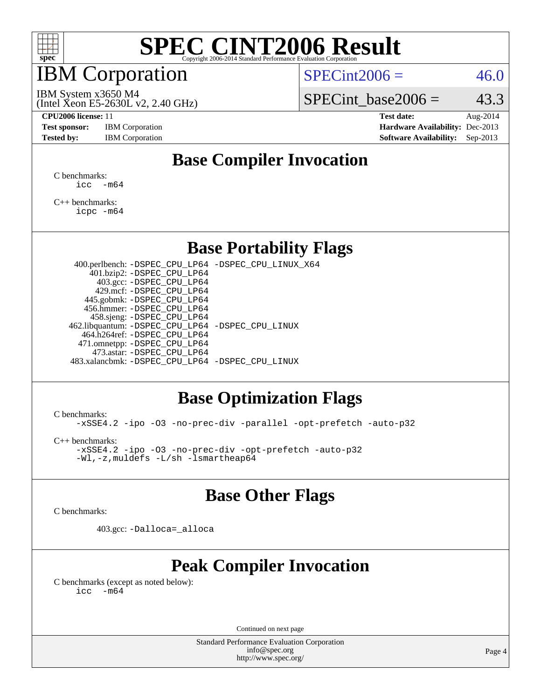![](_page_3_Picture_0.jpeg)

### IBM Corporation

 $SPECint2006 = 46.0$  $SPECint2006 = 46.0$ 

(Intel Xeon E5-2630L v2, 2.40 GHz) IBM System x3650 M4

SPECint base2006 =  $43.3$ 

**[Test sponsor:](http://www.spec.org/auto/cpu2006/Docs/result-fields.html#Testsponsor)** IBM Corporation **[Hardware Availability:](http://www.spec.org/auto/cpu2006/Docs/result-fields.html#HardwareAvailability)** Dec-2013

**[CPU2006 license:](http://www.spec.org/auto/cpu2006/Docs/result-fields.html#CPU2006license)** 11 **[Test date:](http://www.spec.org/auto/cpu2006/Docs/result-fields.html#Testdate)** Aug-2014 [Tested by:](http://www.spec.org/auto/cpu2006/Docs/result-fields.html#Testedby) IBM Corporation **[Software Availability:](http://www.spec.org/auto/cpu2006/Docs/result-fields.html#SoftwareAvailability)** Sep-2013

### **[Base Compiler Invocation](http://www.spec.org/auto/cpu2006/Docs/result-fields.html#BaseCompilerInvocation)**

[C benchmarks](http://www.spec.org/auto/cpu2006/Docs/result-fields.html#Cbenchmarks):  $\text{icc}$   $-\text{m64}$ 

[C++ benchmarks:](http://www.spec.org/auto/cpu2006/Docs/result-fields.html#CXXbenchmarks) [icpc -m64](http://www.spec.org/cpu2006/results/res2014q3/cpu2006-20140822-30988.flags.html#user_CXXbase_intel_icpc_64bit_fc66a5337ce925472a5c54ad6a0de310)

#### **[Base Portability Flags](http://www.spec.org/auto/cpu2006/Docs/result-fields.html#BasePortabilityFlags)**

 400.perlbench: [-DSPEC\\_CPU\\_LP64](http://www.spec.org/cpu2006/results/res2014q3/cpu2006-20140822-30988.flags.html#b400.perlbench_basePORTABILITY_DSPEC_CPU_LP64) [-DSPEC\\_CPU\\_LINUX\\_X64](http://www.spec.org/cpu2006/results/res2014q3/cpu2006-20140822-30988.flags.html#b400.perlbench_baseCPORTABILITY_DSPEC_CPU_LINUX_X64) 401.bzip2: [-DSPEC\\_CPU\\_LP64](http://www.spec.org/cpu2006/results/res2014q3/cpu2006-20140822-30988.flags.html#suite_basePORTABILITY401_bzip2_DSPEC_CPU_LP64) 403.gcc: [-DSPEC\\_CPU\\_LP64](http://www.spec.org/cpu2006/results/res2014q3/cpu2006-20140822-30988.flags.html#suite_basePORTABILITY403_gcc_DSPEC_CPU_LP64) 429.mcf: [-DSPEC\\_CPU\\_LP64](http://www.spec.org/cpu2006/results/res2014q3/cpu2006-20140822-30988.flags.html#suite_basePORTABILITY429_mcf_DSPEC_CPU_LP64) 445.gobmk: [-DSPEC\\_CPU\\_LP64](http://www.spec.org/cpu2006/results/res2014q3/cpu2006-20140822-30988.flags.html#suite_basePORTABILITY445_gobmk_DSPEC_CPU_LP64) 456.hmmer: [-DSPEC\\_CPU\\_LP64](http://www.spec.org/cpu2006/results/res2014q3/cpu2006-20140822-30988.flags.html#suite_basePORTABILITY456_hmmer_DSPEC_CPU_LP64) 458.sjeng: [-DSPEC\\_CPU\\_LP64](http://www.spec.org/cpu2006/results/res2014q3/cpu2006-20140822-30988.flags.html#suite_basePORTABILITY458_sjeng_DSPEC_CPU_LP64) 462.libquantum: [-DSPEC\\_CPU\\_LP64](http://www.spec.org/cpu2006/results/res2014q3/cpu2006-20140822-30988.flags.html#suite_basePORTABILITY462_libquantum_DSPEC_CPU_LP64) [-DSPEC\\_CPU\\_LINUX](http://www.spec.org/cpu2006/results/res2014q3/cpu2006-20140822-30988.flags.html#b462.libquantum_baseCPORTABILITY_DSPEC_CPU_LINUX) 464.h264ref: [-DSPEC\\_CPU\\_LP64](http://www.spec.org/cpu2006/results/res2014q3/cpu2006-20140822-30988.flags.html#suite_basePORTABILITY464_h264ref_DSPEC_CPU_LP64) 471.omnetpp: [-DSPEC\\_CPU\\_LP64](http://www.spec.org/cpu2006/results/res2014q3/cpu2006-20140822-30988.flags.html#suite_basePORTABILITY471_omnetpp_DSPEC_CPU_LP64) 473.astar: [-DSPEC\\_CPU\\_LP64](http://www.spec.org/cpu2006/results/res2014q3/cpu2006-20140822-30988.flags.html#suite_basePORTABILITY473_astar_DSPEC_CPU_LP64) 483.xalancbmk: [-DSPEC\\_CPU\\_LP64](http://www.spec.org/cpu2006/results/res2014q3/cpu2006-20140822-30988.flags.html#suite_basePORTABILITY483_xalancbmk_DSPEC_CPU_LP64) [-DSPEC\\_CPU\\_LINUX](http://www.spec.org/cpu2006/results/res2014q3/cpu2006-20140822-30988.flags.html#b483.xalancbmk_baseCXXPORTABILITY_DSPEC_CPU_LINUX)

#### **[Base Optimization Flags](http://www.spec.org/auto/cpu2006/Docs/result-fields.html#BaseOptimizationFlags)**

[C benchmarks](http://www.spec.org/auto/cpu2006/Docs/result-fields.html#Cbenchmarks):

[-xSSE4.2](http://www.spec.org/cpu2006/results/res2014q3/cpu2006-20140822-30988.flags.html#user_CCbase_f-xSSE42_f91528193cf0b216347adb8b939d4107) [-ipo](http://www.spec.org/cpu2006/results/res2014q3/cpu2006-20140822-30988.flags.html#user_CCbase_f-ipo) [-O3](http://www.spec.org/cpu2006/results/res2014q3/cpu2006-20140822-30988.flags.html#user_CCbase_f-O3) [-no-prec-div](http://www.spec.org/cpu2006/results/res2014q3/cpu2006-20140822-30988.flags.html#user_CCbase_f-no-prec-div) [-parallel](http://www.spec.org/cpu2006/results/res2014q3/cpu2006-20140822-30988.flags.html#user_CCbase_f-parallel) [-opt-prefetch](http://www.spec.org/cpu2006/results/res2014q3/cpu2006-20140822-30988.flags.html#user_CCbase_f-opt-prefetch) [-auto-p32](http://www.spec.org/cpu2006/results/res2014q3/cpu2006-20140822-30988.flags.html#user_CCbase_f-auto-p32)

[C++ benchmarks:](http://www.spec.org/auto/cpu2006/Docs/result-fields.html#CXXbenchmarks)

[-xSSE4.2](http://www.spec.org/cpu2006/results/res2014q3/cpu2006-20140822-30988.flags.html#user_CXXbase_f-xSSE42_f91528193cf0b216347adb8b939d4107) [-ipo](http://www.spec.org/cpu2006/results/res2014q3/cpu2006-20140822-30988.flags.html#user_CXXbase_f-ipo) [-O3](http://www.spec.org/cpu2006/results/res2014q3/cpu2006-20140822-30988.flags.html#user_CXXbase_f-O3) [-no-prec-div](http://www.spec.org/cpu2006/results/res2014q3/cpu2006-20140822-30988.flags.html#user_CXXbase_f-no-prec-div) [-opt-prefetch](http://www.spec.org/cpu2006/results/res2014q3/cpu2006-20140822-30988.flags.html#user_CXXbase_f-opt-prefetch) [-auto-p32](http://www.spec.org/cpu2006/results/res2014q3/cpu2006-20140822-30988.flags.html#user_CXXbase_f-auto-p32) [-Wl,-z,muldefs](http://www.spec.org/cpu2006/results/res2014q3/cpu2006-20140822-30988.flags.html#user_CXXbase_link_force_multiple1_74079c344b956b9658436fd1b6dd3a8a) [-L/sh -lsmartheap64](http://www.spec.org/cpu2006/results/res2014q3/cpu2006-20140822-30988.flags.html#user_CXXbase_SmartHeap64_ed4ef857ce90951921efb0d91eb88472)

#### **[Base Other Flags](http://www.spec.org/auto/cpu2006/Docs/result-fields.html#BaseOtherFlags)**

[C benchmarks](http://www.spec.org/auto/cpu2006/Docs/result-fields.html#Cbenchmarks):

403.gcc: [-Dalloca=\\_alloca](http://www.spec.org/cpu2006/results/res2014q3/cpu2006-20140822-30988.flags.html#b403.gcc_baseEXTRA_CFLAGS_Dalloca_be3056838c12de2578596ca5467af7f3)

### **[Peak Compiler Invocation](http://www.spec.org/auto/cpu2006/Docs/result-fields.html#PeakCompilerInvocation)**

[C benchmarks \(except as noted below\)](http://www.spec.org/auto/cpu2006/Docs/result-fields.html#Cbenchmarksexceptasnotedbelow):  $\text{icc}$  -m64

Continued on next page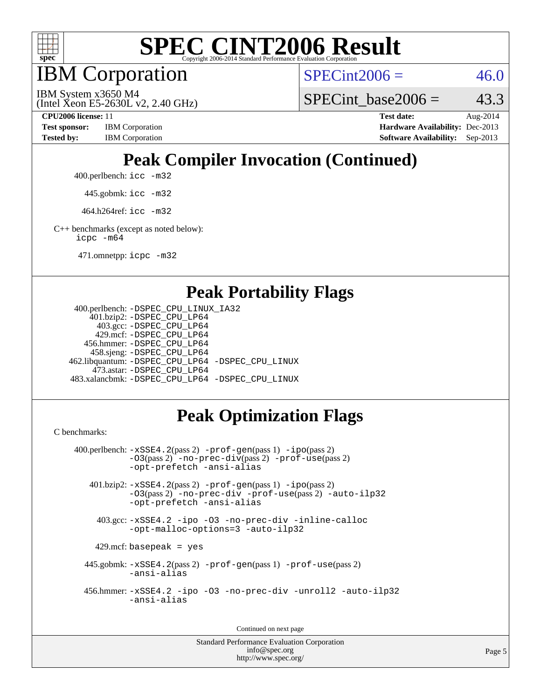![](_page_4_Picture_0.jpeg)

IBM Corporation

 $SPECint2006 = 46.0$  $SPECint2006 = 46.0$ 

(Intel Xeon E5-2630L v2, 2.40 GHz) IBM System x3650 M4

SPECint base2006 =  $43.3$ 

**[CPU2006 license:](http://www.spec.org/auto/cpu2006/Docs/result-fields.html#CPU2006license)** 11 **[Test date:](http://www.spec.org/auto/cpu2006/Docs/result-fields.html#Testdate)** Aug-2014 **[Test sponsor:](http://www.spec.org/auto/cpu2006/Docs/result-fields.html#Testsponsor)** IBM Corporation **[Hardware Availability:](http://www.spec.org/auto/cpu2006/Docs/result-fields.html#HardwareAvailability)** Dec-2013 [Tested by:](http://www.spec.org/auto/cpu2006/Docs/result-fields.html#Testedby) IBM Corporation **[Software Availability:](http://www.spec.org/auto/cpu2006/Docs/result-fields.html#SoftwareAvailability)** Sep-2013

## **[Peak Compiler Invocation \(Continued\)](http://www.spec.org/auto/cpu2006/Docs/result-fields.html#PeakCompilerInvocation)**

400.perlbench: [icc -m32](http://www.spec.org/cpu2006/results/res2014q3/cpu2006-20140822-30988.flags.html#user_peakCCLD400_perlbench_intel_icc_a6a621f8d50482236b970c6ac5f55f93)

445.gobmk: [icc -m32](http://www.spec.org/cpu2006/results/res2014q3/cpu2006-20140822-30988.flags.html#user_peakCCLD445_gobmk_intel_icc_a6a621f8d50482236b970c6ac5f55f93)

464.h264ref: [icc -m32](http://www.spec.org/cpu2006/results/res2014q3/cpu2006-20140822-30988.flags.html#user_peakCCLD464_h264ref_intel_icc_a6a621f8d50482236b970c6ac5f55f93)

[C++ benchmarks \(except as noted below\):](http://www.spec.org/auto/cpu2006/Docs/result-fields.html#CXXbenchmarksexceptasnotedbelow) [icpc -m64](http://www.spec.org/cpu2006/results/res2014q3/cpu2006-20140822-30988.flags.html#user_CXXpeak_intel_icpc_64bit_fc66a5337ce925472a5c54ad6a0de310)

471.omnetpp: [icpc -m32](http://www.spec.org/cpu2006/results/res2014q3/cpu2006-20140822-30988.flags.html#user_peakCXXLD471_omnetpp_intel_icpc_4e5a5ef1a53fd332b3c49e69c3330699)

#### **[Peak Portability Flags](http://www.spec.org/auto/cpu2006/Docs/result-fields.html#PeakPortabilityFlags)**

```
 400.perlbench: -DSPEC_CPU_LINUX_IA32
    401.bzip2: -DSPEC_CPU_LP64
      403.gcc: -DSPEC_CPU_LP64
     429.mcf: -DSPEC_CPU_LP64
   456.hmmer: -DSPEC_CPU_LP64
    458.sjeng: -DSPEC_CPU_LP64
462.libquantum: -DSPEC_CPU_LP64 -DSPEC_CPU_LINUX
     473.astar: -DSPEC_CPU_LP64
483.xalancbmk: -DSPEC_CPU_LP64 -DSPEC_CPU_LINUX
```
### **[Peak Optimization Flags](http://www.spec.org/auto/cpu2006/Docs/result-fields.html#PeakOptimizationFlags)**

[C benchmarks](http://www.spec.org/auto/cpu2006/Docs/result-fields.html#Cbenchmarks):

```
 400.perlbench: -xSSE4.2(pass 2) -prof-gen(pass 1) -ipo(pass 2)
           -O3(pass 2) -no-prec-div(pass 2) -prof-use(pass 2)
          -opt-prefetch -ansi-alias
   401.bzip2: -xSSE4.2(pass 2) -prof-gen(pass 1) -ipo(pass 2)
           -O3(pass 2) -no-prec-div -prof-use(pass 2) -auto-ilp32
           -opt-prefetch -ansi-alias
    403.gcc: -xSSE4.2 -ipo -O3 -no-prec-div -inline-calloc
           -opt-malloc-options=3 -auto-ilp32
   429.mcf: basepeak = yes
  445.gobmk: -xSSE4.2(pass 2) -prof-gen(pass 1) -prof-use(pass 2)
           -ansi-alias
  456.hmmer: -xSSE4.2 -ipo -O3 -no-prec-div -unroll2 -auto-ilp32
           -ansi-alias
```
Continued on next page